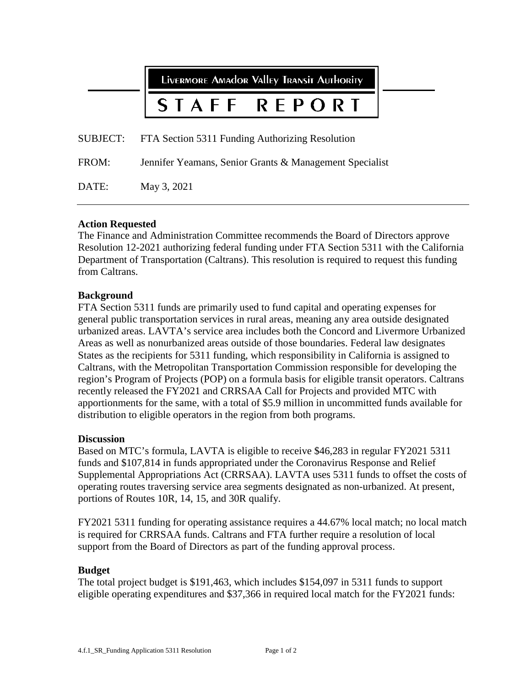|          | LIVERMORE AMAdOR VAlley TRANSIT AUTHORITY               |  |  |  |
|----------|---------------------------------------------------------|--|--|--|
|          | STAFF REPORT                                            |  |  |  |
| SUBJECT: | FTA Section 5311 Funding Authorizing Resolution         |  |  |  |
| FROM:    | Jennifer Yeamans, Senior Grants & Management Specialist |  |  |  |
| DATE:    | May 3, 2021                                             |  |  |  |

## **Action Requested**

The Finance and Administration Committee recommends the Board of Directors approve Resolution 12-2021 authorizing federal funding under FTA Section 5311 with the California Department of Transportation (Caltrans). This resolution is required to request this funding from Caltrans.

#### **Background**

FTA Section 5311 funds are primarily used to fund capital and operating expenses for general public transportation services in rural areas, meaning any area outside designated urbanized areas. LAVTA's service area includes both the Concord and Livermore Urbanized Areas as well as nonurbanized areas outside of those boundaries. Federal law designates States as the recipients for 5311 funding, which responsibility in California is assigned to Caltrans, with the Metropolitan Transportation Commission responsible for developing the region's Program of Projects (POP) on a formula basis for eligible transit operators. Caltrans recently released the FY2021 and CRRSAA Call for Projects and provided MTC with apportionments for the same, with a total of \$5.9 million in uncommitted funds available for distribution to eligible operators in the region from both programs.

#### **Discussion**

Based on MTC's formula, LAVTA is eligible to receive \$46,283 in regular FY2021 5311 funds and \$107,814 in funds appropriated under the Coronavirus Response and Relief Supplemental Appropriations Act (CRRSAA). LAVTA uses 5311 funds to offset the costs of operating routes traversing service area segments designated as non-urbanized. At present, portions of Routes 10R, 14, 15, and 30R qualify.

FY2021 5311 funding for operating assistance requires a 44.67% local match; no local match is required for CRRSAA funds. Caltrans and FTA further require a resolution of local support from the Board of Directors as part of the funding approval process.

## **Budget**

The total project budget is \$191,463, which includes \$154,097 in 5311 funds to support eligible operating expenditures and \$37,366 in required local match for the FY2021 funds: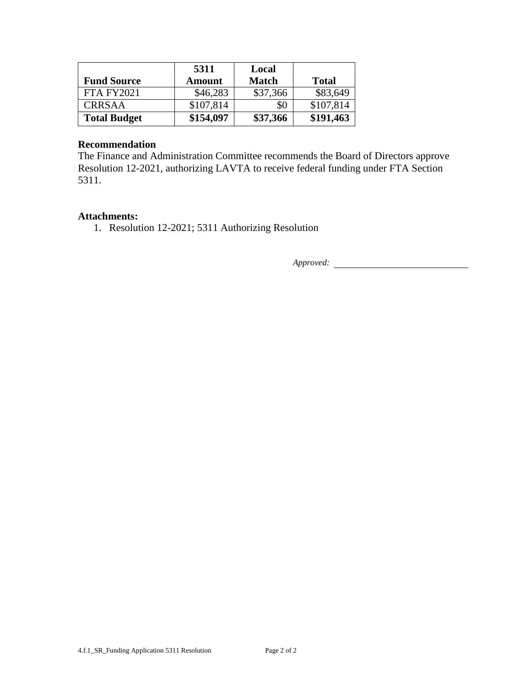|                     | 5311          | Local        |              |
|---------------------|---------------|--------------|--------------|
| <b>Fund Source</b>  | <b>Amount</b> | <b>Match</b> | <b>Total</b> |
| <b>FTA FY2021</b>   | \$46,283      | \$37,366     | \$83,649     |
| <b>CRRSAA</b>       | \$107,814     | \$0          | \$107,814    |
| <b>Total Budget</b> | \$154,097     | \$37,366     | \$191,463    |

#### **Recommendation**

The Finance and Administration Committee recommends the Board of Directors approve Resolution 12-2021, authorizing LAVTA to receive federal funding under FTA Section 5311.

#### **Attachments:**

1. Resolution 12-2021; 5311 Authorizing Resolution

*Approved:*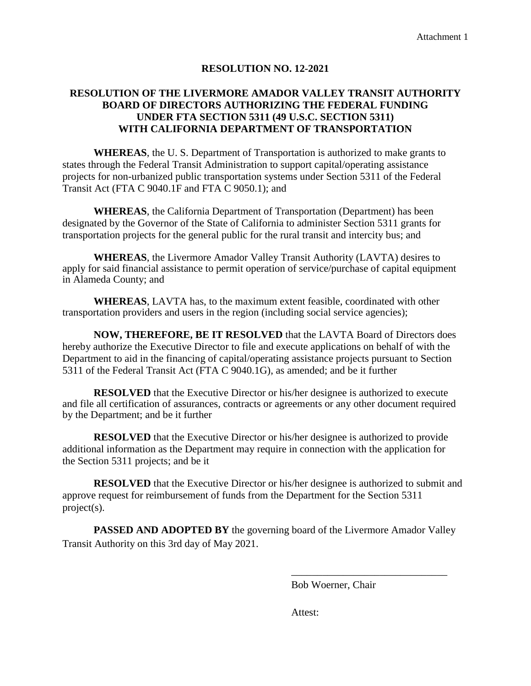## **RESOLUTION NO. 12-2021**

# **RESOLUTION OF THE LIVERMORE AMADOR VALLEY TRANSIT AUTHORITY BOARD OF DIRECTORS AUTHORIZING THE FEDERAL FUNDING UNDER FTA SECTION 5311 (49 U.S.C. SECTION 5311) WITH CALIFORNIA DEPARTMENT OF TRANSPORTATION**

**WHEREAS**, the U. S. Department of Transportation is authorized to make grants to states through the Federal Transit Administration to support capital/operating assistance projects for non-urbanized public transportation systems under Section 5311 of the Federal Transit Act (FTA C 9040.1F and FTA C 9050.1); and

**WHEREAS**, the California Department of Transportation (Department) has been designated by the Governor of the State of California to administer Section 5311 grants for transportation projects for the general public for the rural transit and intercity bus; and

**WHEREAS**, the Livermore Amador Valley Transit Authority (LAVTA) desires to apply for said financial assistance to permit operation of service/purchase of capital equipment in Alameda County; and

**WHEREAS**, LAVTA has, to the maximum extent feasible, coordinated with other transportation providers and users in the region (including social service agencies);

**NOW, THEREFORE, BE IT RESOLVED** that the LAVTA Board of Directors does hereby authorize the Executive Director to file and execute applications on behalf of with the Department to aid in the financing of capital/operating assistance projects pursuant to Section 5311 of the Federal Transit Act (FTA C 9040.1G), as amended; and be it further

**RESOLVED** that the Executive Director or his/her designee is authorized to execute and file all certification of assurances, contracts or agreements or any other document required by the Department; and be it further

**RESOLVED** that the Executive Director or his/her designee is authorized to provide additional information as the Department may require in connection with the application for the Section 5311 projects; and be it

**RESOLVED** that the Executive Director or his/her designee is authorized to submit and approve request for reimbursement of funds from the Department for the Section 5311 project(s).

**PASSED AND ADOPTED BY** the governing board of the Livermore Amador Valley Transit Authority on this 3rd day of May 2021.

Bob Woerner, Chair

\_\_\_\_\_\_\_\_\_\_\_\_\_\_\_\_\_\_\_\_\_\_\_\_\_\_\_\_\_\_

Attest: